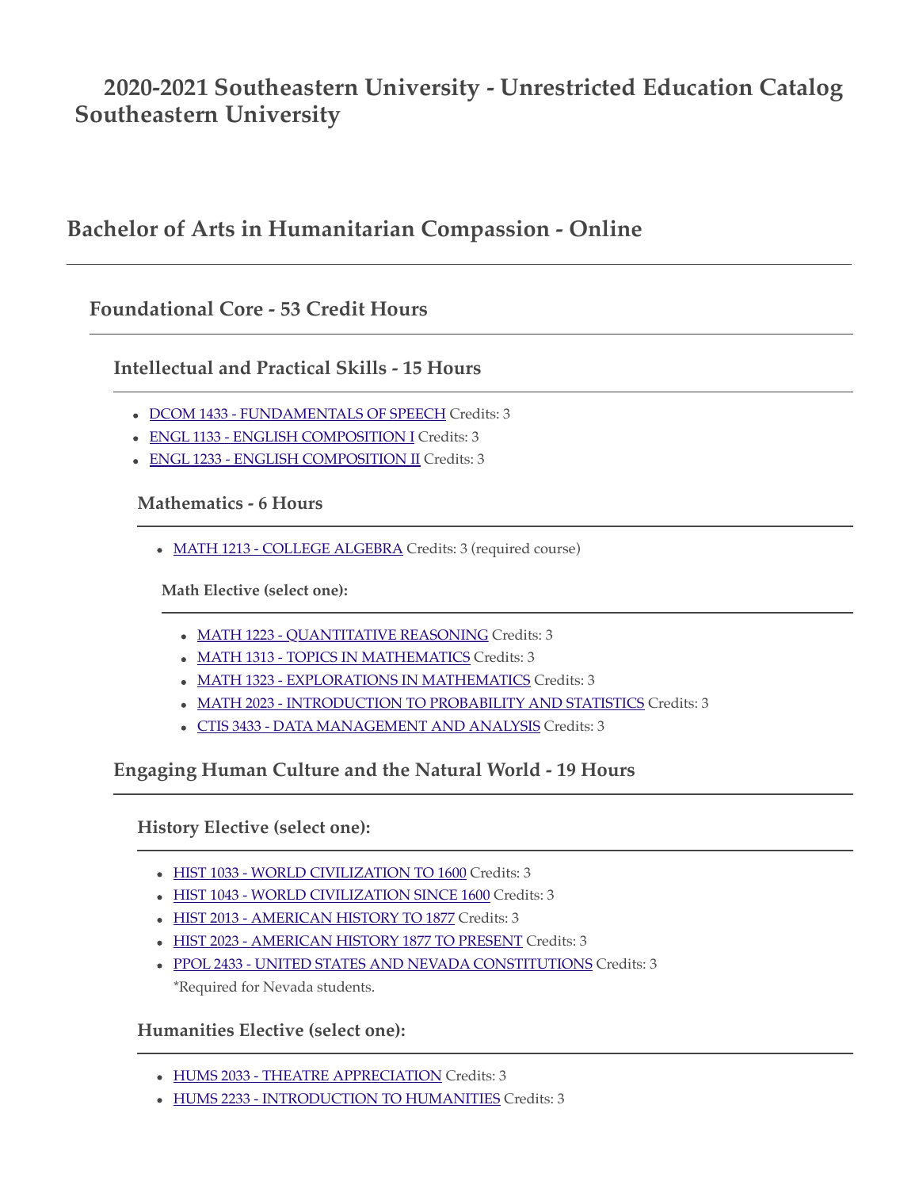# **2020-2021 Southeastern University - Unrestricted Education Catalog Southeastern University**

# **Bachelor of Arts in Humanitarian Compassion - Online**

# **Foundational Core - 53 Credit Hours**

**Intellectual and Practical Skills - 15 Hours**

- [DCOM 1433 FUNDAMENTALS OF SPEECH](http://catalog.seu.edu/preview_program.php?catoid=34&poid=6905&returnto=2191&print#) Credits: 3
- [ENGL 1133 ENGLISH COMPOSITION I](http://catalog.seu.edu/preview_program.php?catoid=34&poid=6905&returnto=2191&print#) Credits: 3
- [ENGL 1233 ENGLISH COMPOSITION II](http://catalog.seu.edu/preview_program.php?catoid=34&poid=6905&returnto=2191&print#) Credits: 3

#### **Mathematics - 6 Hours**

[MATH 1213 - COLLEGE ALGEBRA](http://catalog.seu.edu/preview_program.php?catoid=34&poid=6905&returnto=2191&print#) Credits: 3 (required course)

**Math Elective (select one):**

- [MATH 1223 QUANTITATIVE REASONING](http://catalog.seu.edu/preview_program.php?catoid=34&poid=6905&returnto=2191&print#) Credits: 3
- [MATH 1313 TOPICS IN MATHEMATICS](http://catalog.seu.edu/preview_program.php?catoid=34&poid=6905&returnto=2191&print#) Credits: 3
- [MATH 1323 EXPLORATIONS IN MATHEMATICS](http://catalog.seu.edu/preview_program.php?catoid=34&poid=6905&returnto=2191&print#) Credits: 3
- $\bullet$  [MATH 2023 INTRODUCTION TO PROBABILITY AND STATISTICS](http://catalog.seu.edu/preview_program.php?catoid=34&poid=6905&returnto=2191&print#) Credits: 3
- [CTIS 3433 DATA MANAGEMENT AND ANALYSIS](http://catalog.seu.edu/preview_program.php?catoid=34&poid=6905&returnto=2191&print#) Credits: 3

**Engaging Human Culture and the Natural World - 19 Hours**

**History Elective (select one):**

- [HIST 1033 WORLD CIVILIZATION TO 1600](http://catalog.seu.edu/preview_program.php?catoid=34&poid=6905&returnto=2191&print#) Credits: 3
- [HIST 1043 WORLD CIVILIZATION SINCE 1600](http://catalog.seu.edu/preview_program.php?catoid=34&poid=6905&returnto=2191&print#) Credits: 3
- [HIST 2013 AMERICAN HISTORY TO 1877](http://catalog.seu.edu/preview_program.php?catoid=34&poid=6905&returnto=2191&print#) Credits: 3
- [HIST 2023 AMERICAN HISTORY 1877 TO PRESENT](http://catalog.seu.edu/preview_program.php?catoid=34&poid=6905&returnto=2191&print#) Credits: 3
- [PPOL 2433 UNITED STATES AND NEVADA CONSTITUTIONS](http://catalog.seu.edu/preview_program.php?catoid=34&poid=6905&returnto=2191&print#) Credits: 3 \*Required for Nevada students.

## **Humanities Elective (select one):**

- [HUMS 2033 THEATRE APPRECIATION](http://catalog.seu.edu/preview_program.php?catoid=34&poid=6905&returnto=2191&print#) Credits: 3
- [HUMS 2233 INTRODUCTION TO HUMANITIES](http://catalog.seu.edu/preview_program.php?catoid=34&poid=6905&returnto=2191&print#) Credits: 3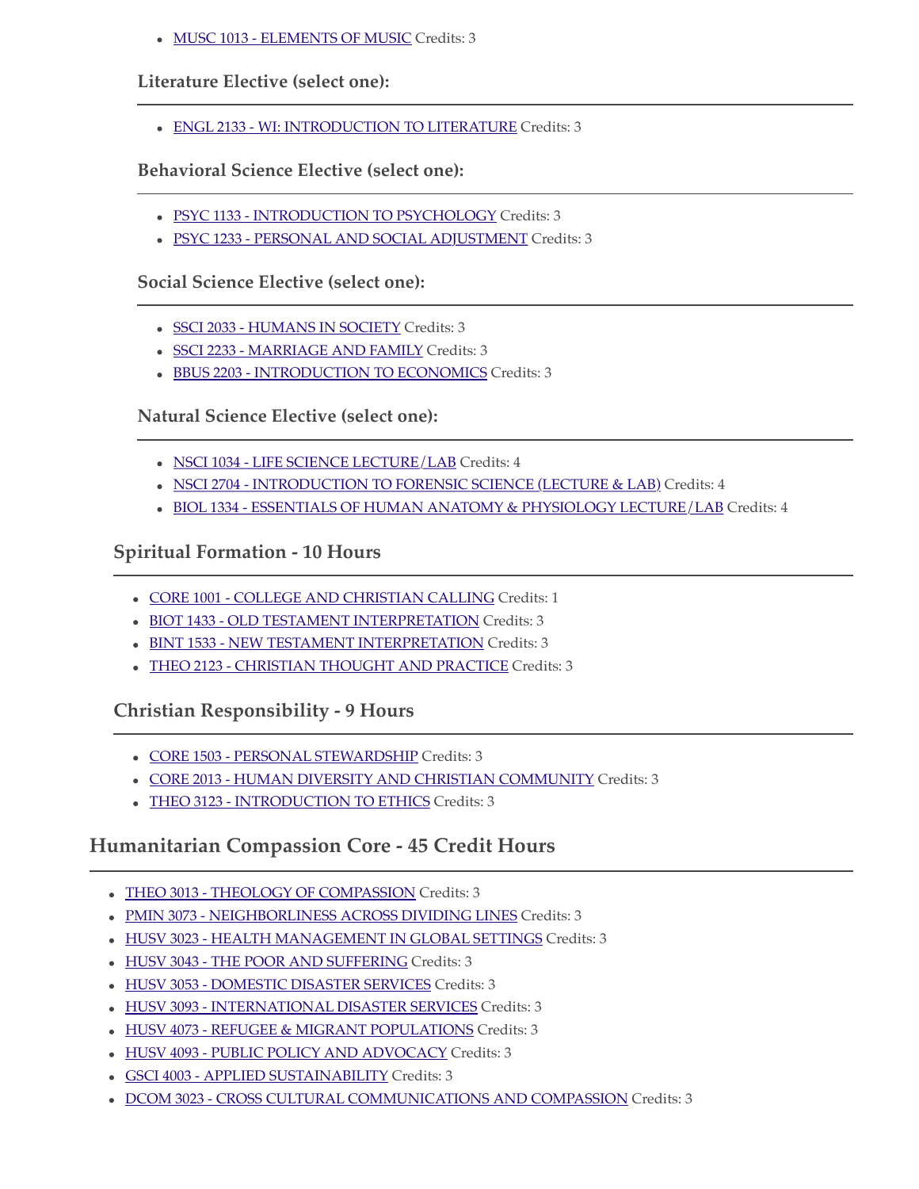• [MUSC 1013 - ELEMENTS OF MUSIC](http://catalog.seu.edu/preview_program.php?catoid=34&poid=6905&returnto=2191&print#) Credits: 3

### **Literature Elective (select one):**

[ENGL 2133 - WI: INTRODUCTION TO LITERATURE](http://catalog.seu.edu/preview_program.php?catoid=34&poid=6905&returnto=2191&print#) Credits: 3

### **Behavioral Science Elective (select one):**

- [PSYC 1133 INTRODUCTION TO PSYCHOLOGY](http://catalog.seu.edu/preview_program.php?catoid=34&poid=6905&returnto=2191&print#) Credits: 3
- [PSYC 1233 PERSONAL AND SOCIAL ADJUSTMENT](http://catalog.seu.edu/preview_program.php?catoid=34&poid=6905&returnto=2191&print#) Credits: 3

#### **Social Science Elective (select one):**

- [SSCI 2033 HUMANS IN SOCIETY](http://catalog.seu.edu/preview_program.php?catoid=34&poid=6905&returnto=2191&print#) Credits: 3
- [SSCI 2233 MARRIAGE AND FAMILY](http://catalog.seu.edu/preview_program.php?catoid=34&poid=6905&returnto=2191&print#) Credits: 3
- [BBUS 2203 INTRODUCTION TO ECONOMICS](http://catalog.seu.edu/preview_program.php?catoid=34&poid=6905&returnto=2191&print#) Credits: 3

#### **Natural Science Elective (select one):**

- [NSCI 1034 LIFE SCIENCE LECTURE/LAB](http://catalog.seu.edu/preview_program.php?catoid=34&poid=6905&returnto=2191&print#) Credits: 4
- [NSCI 2704 INTRODUCTION TO FORENSIC SCIENCE \(LECTURE & LAB\)](http://catalog.seu.edu/preview_program.php?catoid=34&poid=6905&returnto=2191&print#) Credits: 4
- [BIOL 1334 ESSENTIALS OF HUMAN ANATOMY & PHYSIOLOGY LECTURE/LAB](http://catalog.seu.edu/preview_program.php?catoid=34&poid=6905&returnto=2191&print#) Credits: 4

## **Spiritual Formation - 10 Hours**

- [CORE 1001 COLLEGE AND CHRISTIAN CALLING](http://catalog.seu.edu/preview_program.php?catoid=34&poid=6905&returnto=2191&print#) Credits: 1
- [BIOT 1433 OLD TESTAMENT INTERPRETATION](http://catalog.seu.edu/preview_program.php?catoid=34&poid=6905&returnto=2191&print#) Credits: 3
- [BINT 1533 NEW TESTAMENT INTERPRETATION](http://catalog.seu.edu/preview_program.php?catoid=34&poid=6905&returnto=2191&print#) Credits: 3
- [THEO 2123 CHRISTIAN THOUGHT AND PRACTICE](http://catalog.seu.edu/preview_program.php?catoid=34&poid=6905&returnto=2191&print#) Credits: 3

## **Christian Responsibility - 9 Hours**

- [CORE 1503 PERSONAL STEWARDSHIP](http://catalog.seu.edu/preview_program.php?catoid=34&poid=6905&returnto=2191&print#) Credits: 3
- [CORE 2013 HUMAN DIVERSITY AND CHRISTIAN COMMUNITY](http://catalog.seu.edu/preview_program.php?catoid=34&poid=6905&returnto=2191&print#) Credits: 3
- [THEO 3123 INTRODUCTION TO ETHICS](http://catalog.seu.edu/preview_program.php?catoid=34&poid=6905&returnto=2191&print#) Credits: 3

# **Humanitarian Compassion Core - 45 Credit Hours**

- [THEO 3013 THEOLOGY OF COMPASSION](http://catalog.seu.edu/preview_program.php?catoid=34&poid=6905&returnto=2191&print#) Credits: 3
- [PMIN 3073 NEIGHBORLINESS ACROSS DIVIDING LINES](http://catalog.seu.edu/preview_program.php?catoid=34&poid=6905&returnto=2191&print#) Credits: 3
- $\bullet$  [HUSV 3023 HEALTH MANAGEMENT IN GLOBAL SETTINGS](http://catalog.seu.edu/preview_program.php?catoid=34&poid=6905&returnto=2191&print#) Credits: 3
- [HUSV 3043 THE POOR AND SUFFERING](http://catalog.seu.edu/preview_program.php?catoid=34&poid=6905&returnto=2191&print#) Credits: 3
- [HUSV 3053 DOMESTIC DISASTER SERVICES](http://catalog.seu.edu/preview_program.php?catoid=34&poid=6905&returnto=2191&print#) Credits: 3
- $\bullet$  [HUSV 3093 INTERNATIONAL DISASTER SERVICES](http://catalog.seu.edu/preview_program.php?catoid=34&poid=6905&returnto=2191&print#) Credits: 3
- [HUSV 4073 REFUGEE & MIGRANT POPULATIONS](http://catalog.seu.edu/preview_program.php?catoid=34&poid=6905&returnto=2191&print#) Credits: 3
- [HUSV 4093 PUBLIC POLICY AND ADVOCACY](http://catalog.seu.edu/preview_program.php?catoid=34&poid=6905&returnto=2191&print#) Credits: 3
- [GSCI 4003 APPLIED SUSTAINABILITY](http://catalog.seu.edu/preview_program.php?catoid=34&poid=6905&returnto=2191&print#) Credits: 3
- $\bullet$  [DCOM 3023 CROSS CULTURAL COMMUNICATIONS AND COMPASSION](http://catalog.seu.edu/preview_program.php?catoid=34&poid=6905&returnto=2191&print#) Credits: 3